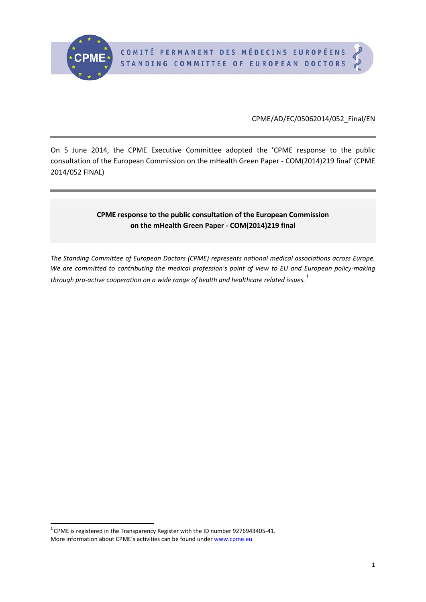CPME/AD/EC/05062014/052\_Final/EN

On 5 June 2014, the CPME Executive Committee adopted the 'CPME response to the public consultation of the European Commission on the mHealth Green Paper - COM(2014)219 final' (CPME 2014/052 FINAL)

## **CPME response to the public consultation of the European Commission on the mHealth Green Paper - COM(2014)219 final**

*The Standing Committee of European Doctors (CPME) represents national medical associations across Europe. We are committed to contributing the medical profession's point of view to EU and European policy-making through pro-active cooperation on a wide range of health and healthcare related issues.[1](#page-0-0)*

<span id="page-0-1"></span><span id="page-0-0"></span> $\frac{1}{1}$  $1$  CPME is registered in the Transparency Register with the ID number 9276943405-41. More information about CPME's activities can be found unde[r www.cpme.eu](http://www.cpme.eu/)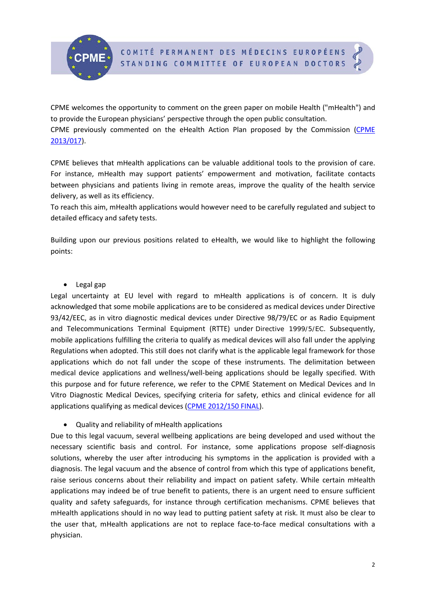

CPME welcomes the opportunity to comment on the green paper on mobile Health ("mHealth") and to provide the European physicians' perspective through the open public consultation.

CPME previously commented on the eHealth Action Plan proposed by the Commission [\(CPME](http://cpme.dyndns.org:591/Adopted/2013/CPME_AD_Brd_27042013_017_Final_EN_eHealthActionPlan.pdf)  [2013/017\)](http://cpme.dyndns.org:591/Adopted/2013/CPME_AD_Brd_27042013_017_Final_EN_eHealthActionPlan.pdf).

CPME believes that mHealth applications can be valuable additional tools to the provision of care. For instance, mHealth may support patients' empowerment and motivation, facilitate contacts between physicians and patients living in remote areas, improve the quality of the health service delivery, as well as its efficiency.

To reach this aim, mHealth applications would however need to be carefully regulated and subject to detailed efficacy and safety tests.

Building upon our previous positions related to eHealth, we would like to highlight the following points:

• Legal gap

Legal uncertainty at EU level with regard to mHealth applications is of concern. It is duly acknowledged that some mobile applications are to be considered as medical devices under Directive 93/42/EEC, as in vitro diagnostic medical devices under Directive 98/79/EC or as Radio Equipment and Telecommunications Terminal Equipment (RTTE) under Directive 1999/5/EC. Subsequently, mobile applications fulfilling the criteria to qualify as medical devices will also fall under the applying Regulations when adopted. This still does not clarify what is the applicable legal framework for those applications which do not fall under the scope of these instruments. The delimitation between medical device applications and wellness/well-being applications should be legally specified. With this purpose and for future reference, we refer to the CPME Statement on Medical Devices and In Vitro Diagnostic Medical Devices, specifying criteria for safety, ethics and clinical evidence for all applications qualifying as medical devices [\(CPME 2012/150 FINAL\)](http://cpme.dyndns.org:591/adopted/2013/CPME.Statement.medical.devices.in.vitro.medical.devices.FINAL.21022013.pdf).

• Quality and reliability of mHealth applications

Due to this legal vacuum, several wellbeing applications are being developed and used without the necessary scientific basis and control. For instance, some applications propose self-diagnosis solutions, whereby the user after introducing his symptoms in the application is provided with a diagnosis. The legal vacuum and the absence of control from which this type of applications benefit, raise serious concerns about their reliability and impact on patient safety. While certain mHealth applications may indeed be of true benefit to patients, there is an urgent need to ensure sufficient quality and safety safeguards, for instance through certification mechanisms. CPME believes that mHealth applications should in no way lead to putting patient safety at risk. It must also be clear to the user that, mHealth applications are not to replace face-to-face medical consultations with a physician.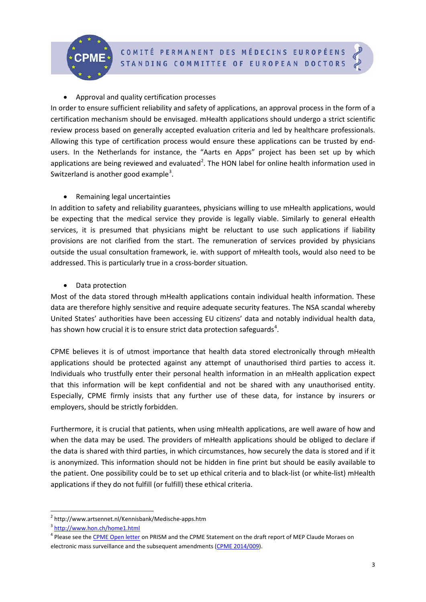COMITÉ PERMANENT DES MÉDECINS EUROPÉENS STANDING COMMITTEE OF EUROPEAN DOCTORS

## • Approval and quality certification processes

In order to ensure sufficient reliability and safety of applications, an approval process in the form of a certification mechanism should be envisaged. mHealth applications should undergo a strict scientific review process based on generally accepted evaluation criteria and led by healthcare professionals. Allowing this type of certification process would ensure these applications can be trusted by endusers. In the Netherlands for instance, the "Aarts en Apps" project has been set up by which applications are being reviewed and evaluated<sup>[2](#page-0-1)</sup>. The HON label for online health information used in Switzerland is another good example<sup>[3](#page-2-0)</sup>.

## • Remaining legal uncertainties

In addition to safety and reliability guarantees, physicians willing to use mHealth applications, would be expecting that the medical service they provide is legally viable. Similarly to general eHealth services, it is presumed that physicians might be reluctant to use such applications if liability provisions are not clarified from the start. The remuneration of services provided by physicians outside the usual consultation framework, ie. with support of mHealth tools, would also need to be addressed. This is particularly true in a cross-border situation.

• Data protection

Most of the data stored through mHealth applications contain individual health information. These data are therefore highly sensitive and require adequate security features. The NSA scandal whereby United States' authorities have been accessing EU citizens' data and notably individual health data, has shown how crucial it is to ensure strict data protection safeguards<sup>[4](#page-2-1)</sup>.

CPME believes it is of utmost importance that health data stored electronically through mHealth applications should be protected against any attempt of unauthorised third parties to access it. Individuals who trustfully enter their personal health information in an mHealth application expect that this information will be kept confidential and not be shared with any unauthorised entity. Especially, CPME firmly insists that any further use of these data, for instance by insurers or employers, should be strictly forbidden.

Furthermore, it is crucial that patients, when using mHealth applications, are well aware of how and when the data may be used. The providers of mHealth applications should be obliged to declare if the data is shared with third parties, in which circumstances, how securely the data is stored and if it is anonymized. This information should not be hidden in fine print but should be easily available to the patient. One possibility could be to set up ethical criteria and to black-list (or white-list) mHealth applications if they do not fulfill (or fulfill) these ethical criteria.

<sup>&</sup>lt;sup>2</sup> http://www.artsennet.nl/Kennisbank/Medische-apps.htm<br> $3$  <http://www.hon.ch/home1.html>

<span id="page-2-0"></span>

<span id="page-2-1"></span><sup>&</sup>lt;sup>4</sup> Please see th[e CPME Open letter](http://cpme.dyndns.org:591/adopted/2013/056_Open_letter_PRISM_18092013.pdf) on PRISM and the CPME Statement on the draft report of MEP Claude Moraes on electronic mass surveillance and the subsequent amendments [\(CPME 2014/009\)](http://cpme.dyndns.org:591/adopted/2014/CPME_AD_10022014_009_Final_EN_CPME.Statement.Draft.report.Claude.Moraes.Electronic.Mass.Surveillance.10022014.pdf).